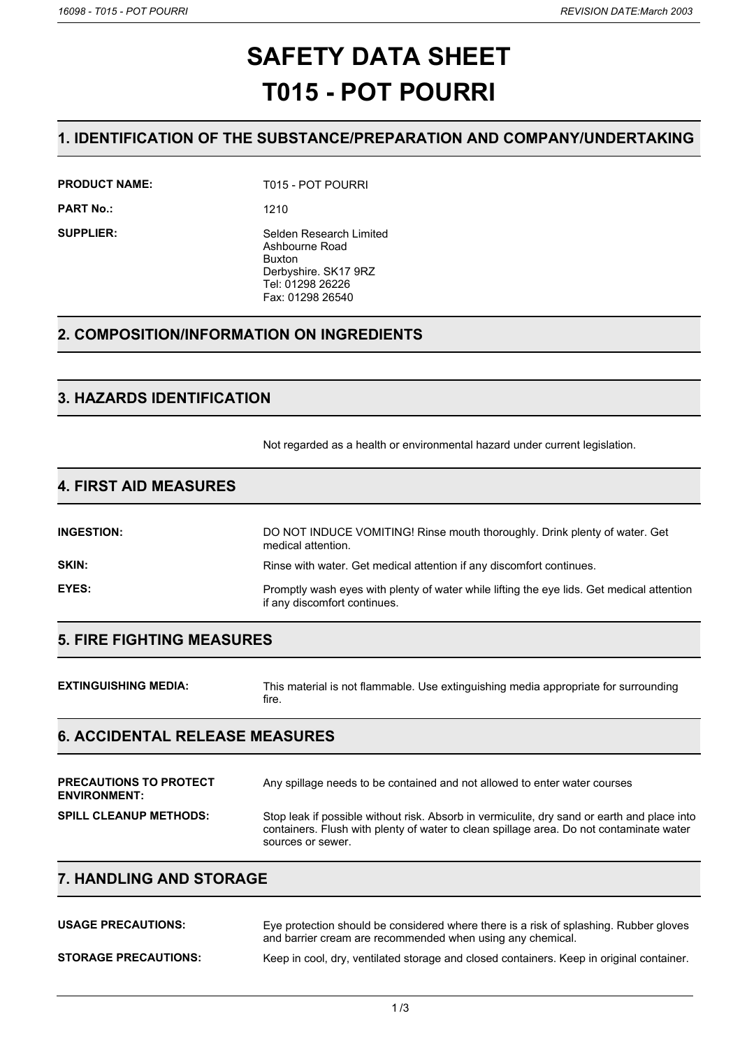# **SAFETY DATA SHEET T015 - POT POURRI**

## **1. IDENTIFICATION OF THE SUBSTANCE/PREPARATION AND COMPANY/UNDERTAKING**

**PRODUCT NAME:** T015 - POT POURRI

**PART No.:** 1210

**SUPPLIER:** Selden Research Limited Ashbourne Road Buxton Derbyshire. SK17 9RZ Tel: 01298 26226 Fax: 01298 26540

## **2. COMPOSITION/INFORMATION ON INGREDIENTS**

## **3. HAZARDS IDENTIFICATION**

Not regarded as a health or environmental hazard under current legislation.

## **4. FIRST AID MEASURES**

| <b>INGESTION:</b> | DO NOT INDUCE VOMITING! Rinse mouth thoroughly. Drink plenty of water. Get<br>medical attention.                          |
|-------------------|---------------------------------------------------------------------------------------------------------------------------|
| SKIN:             | Rinse with water. Get medical attention if any discomfort continues.                                                      |
| EYES:             | Promptly wash eyes with plenty of water while lifting the eye lids. Get medical attention<br>if any discomfort continues. |

## **5. FIRE FIGHTING MEASURES**

| <b>EXTINGUISHING MEDIA:</b> | This material is not flammable. Use extinguishing media appropriate for surrounding |
|-----------------------------|-------------------------------------------------------------------------------------|
|                             | tire.                                                                               |

## **6. ACCIDENTAL RELEASE MEASURES**

| <b>PRECAUTIONS TO PROTECT</b><br><b>ENVIRONMENT:</b> | Any spillage needs to be contained and not allowed to enter water courses                                                                                                                                   |
|------------------------------------------------------|-------------------------------------------------------------------------------------------------------------------------------------------------------------------------------------------------------------|
| <b>SPILL CLEANUP METHODS:</b>                        | Stop leak if possible without risk. Absorb in vermiculite, dry sand or earth and place into<br>containers. Flush with plenty of water to clean spillage area. Do not contaminate water<br>sources or sewer. |

## **7. HANDLING AND STORAGE**

| <b>USAGE PRECAUTIONS:</b>   | Eye protection should be considered where there is a risk of splashing. Rubber gloves<br>and barrier cream are recommended when using any chemical. |
|-----------------------------|-----------------------------------------------------------------------------------------------------------------------------------------------------|
| <b>STORAGE PRECAUTIONS:</b> | Keep in cool, dry, ventilated storage and closed containers. Keep in original container.                                                            |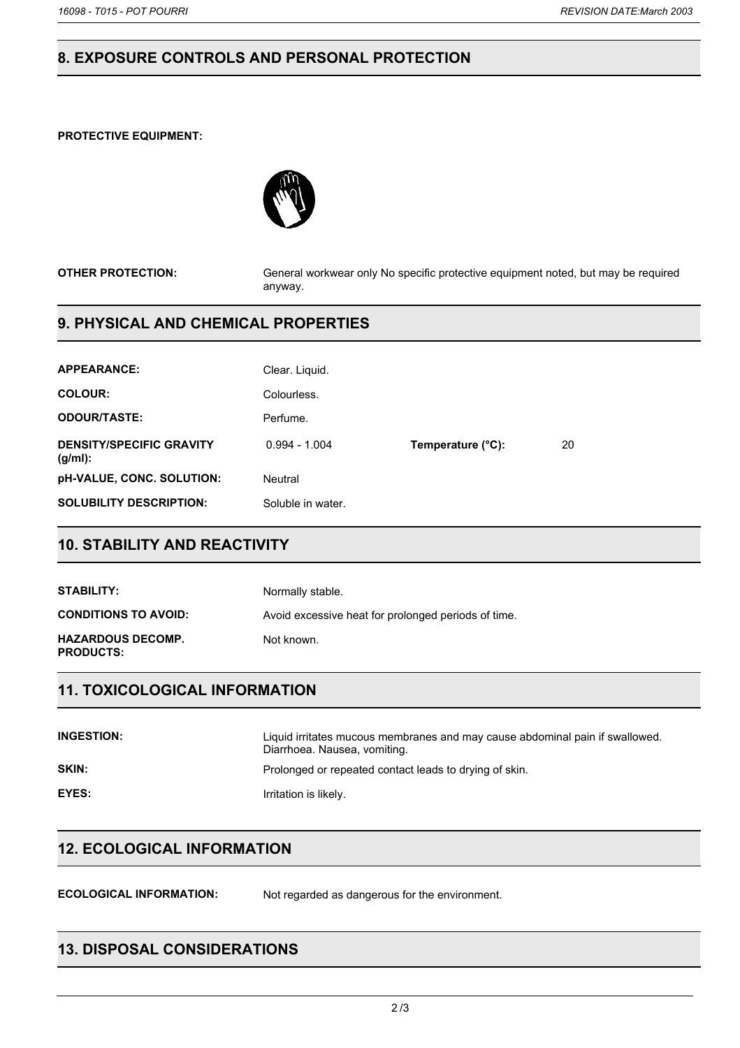# **8. EXPOSURE CONTROLS AND PERSONAL PROTECTION**

#### **PROTECTIVE EQUIPMENT:**



**OTHER PROTECTION:** General workwear only No specific protective equipment noted, but may be required anyway.

## **9. PHYSICAL AND CHEMICAL PROPERTIES**

| <b>APPEARANCE:</b>                         | Clear. Liquid.    |                   |    |
|--------------------------------------------|-------------------|-------------------|----|
| <b>COLOUR:</b>                             | Colourless.       |                   |    |
| <b>ODOUR/TASTE:</b>                        | Perfume.          |                   |    |
| <b>DENSITY/SPECIFIC GRAVITY</b><br>(g/ml): | $0.994 - 1.004$   | Temperature (°C): | 20 |
| <b>pH-VALUE, CONC. SOLUTION:</b>           | Neutral           |                   |    |
| <b>SOLUBILITY DESCRIPTION:</b>             | Soluble in water. |                   |    |

## **10. STABILITY AND REACTIVITY**

| STABILITY:                                   | Normally stable.                                    |
|----------------------------------------------|-----------------------------------------------------|
| <b>CONDITIONS TO AVOID:</b>                  | Avoid excessive heat for prolonged periods of time. |
| <b>HAZARDOUS DECOMP.</b><br><b>PRODUCTS:</b> | Not known.                                          |

## **11. TOXICOLOGICAL INFORMATION**

| <b>INGESTION:</b> | Liquid irritates mucous membranes and may cause abdominal pain if swallowed.<br>Diarrhoea. Nausea, vomiting. |
|-------------------|--------------------------------------------------------------------------------------------------------------|
| SKIN:             | Prolonged or repeated contact leads to drying of skin.                                                       |
| EYES:             | Irritation is likely.                                                                                        |

## **12. ECOLOGICAL INFORMATION**

**ECOLOGICAL INFORMATION:** Not regarded as dangerous for the environment.

## **13. DISPOSAL CONSIDERATIONS**